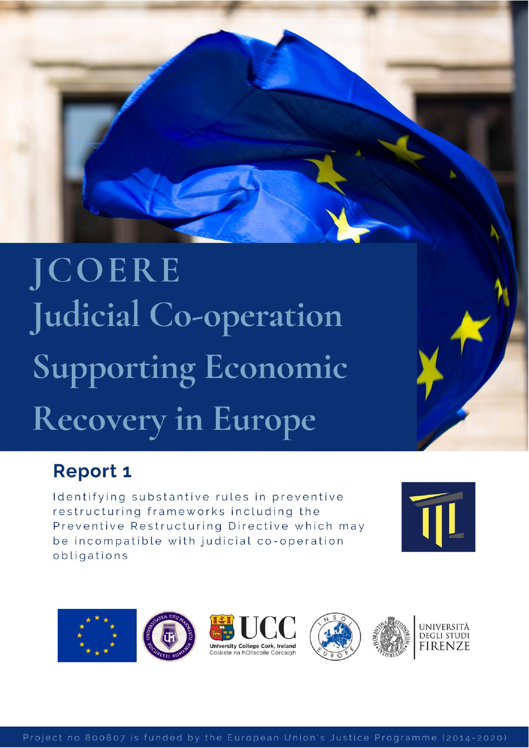# **JCOERE** Judicial Co-operation **Supporting Economic** Recovery in Europe

# **Report 1**

Identifying substantive rules in preventive restructuring frameworks including the Preventive Restructuring Directive which may be incompatible with judicial co-operation obligations



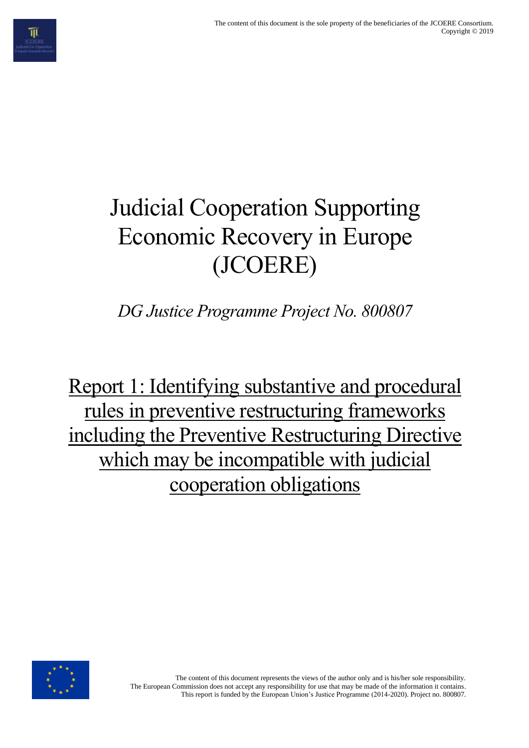# Judicial Cooperation Supporting Economic Recovery in Europe (JCOERE)

*DG Justice Programme Project No. 800807*

Report 1: Identifying substantive and procedural rules in preventive restructuring frameworks including the Preventive Restructuring Directive which may be incompatible with judicial cooperation obligations



The content of this document represents the views of the author only and is his/her sole responsibility. The European Commission does not accept any responsibility for use that may be made of the information it contains. This report is funded by the European Union's Justice Programme (2014-2020). Project no. 800807.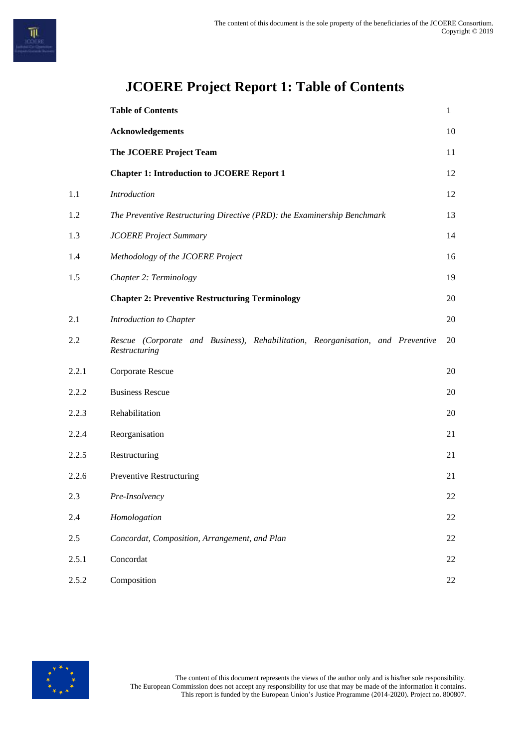|       | <b>Table of Contents</b>                                                                         | $\mathbf{1}$ |
|-------|--------------------------------------------------------------------------------------------------|--------------|
|       | <b>Acknowledgements</b>                                                                          | 10           |
|       | The JCOERE Project Team                                                                          | 11           |
|       | <b>Chapter 1: Introduction to JCOERE Report 1</b>                                                | 12           |
| 1.1   | Introduction                                                                                     | 12           |
| 1.2   | The Preventive Restructuring Directive (PRD): the Examinership Benchmark                         | 13           |
| 1.3   | <b>JCOERE Project Summary</b>                                                                    | 14           |
| 1.4   | Methodology of the JCOERE Project                                                                | 16           |
| 1.5   | Chapter 2: Terminology                                                                           | 19           |
|       | <b>Chapter 2: Preventive Restructuring Terminology</b>                                           | 20           |
| 2.1   | Introduction to Chapter                                                                          | 20           |
| 2.2   | Rescue (Corporate and Business), Rehabilitation, Reorganisation, and Preventive<br>Restructuring | 20           |
| 2.2.1 | Corporate Rescue                                                                                 | 20           |
| 2.2.2 | <b>Business Rescue</b>                                                                           | 20           |
| 2.2.3 | Rehabilitation                                                                                   | 20           |
| 2.2.4 | Reorganisation                                                                                   | 21           |
| 2.2.5 | Restructuring                                                                                    | 21           |
| 2.2.6 | Preventive Restructuring                                                                         | 21           |
| 2.3   | Pre-Insolvency                                                                                   | 22           |
| 2.4   | Homologation                                                                                     | 22           |
| 2.5   | Concordat, Composition, Arrangement, and Plan                                                    | 22           |
| 2.5.1 | Concordat                                                                                        | 22           |
| 2.5.2 | Composition                                                                                      | 22           |

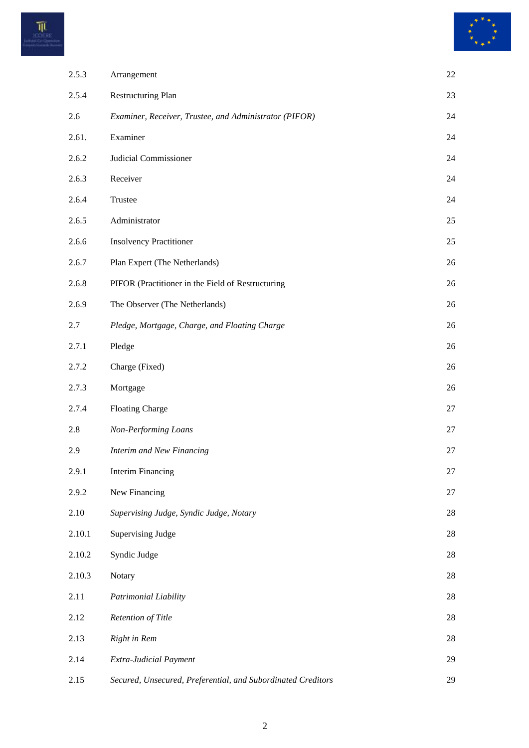



| 2.5.3  | Arrangement                                                  | 22 |
|--------|--------------------------------------------------------------|----|
| 2.5.4  | <b>Restructuring Plan</b>                                    | 23 |
| 2.6    | Examiner, Receiver, Trustee, and Administrator (PIFOR)       | 24 |
| 2.61.  | Examiner                                                     | 24 |
| 2.6.2  | Judicial Commissioner                                        | 24 |
| 2.6.3  | Receiver                                                     | 24 |
| 2.6.4  | Trustee                                                      | 24 |
| 2.6.5  | Administrator                                                | 25 |
| 2.6.6  | <b>Insolvency Practitioner</b>                               | 25 |
| 2.6.7  | Plan Expert (The Netherlands)                                | 26 |
| 2.6.8  | PIFOR (Practitioner in the Field of Restructuring            | 26 |
| 2.6.9  | The Observer (The Netherlands)                               | 26 |
| 2.7    | Pledge, Mortgage, Charge, and Floating Charge                | 26 |
| 2.7.1  | Pledge                                                       | 26 |
| 2.7.2  | Charge (Fixed)                                               | 26 |
| 2.7.3  | Mortgage                                                     | 26 |
| 2.7.4  | <b>Floating Charge</b>                                       | 27 |
| 2.8    | Non-Performing Loans                                         | 27 |
| 2.9    | Interim and New Financing                                    | 27 |
| 2.9.1  | <b>Interim Financing</b>                                     | 27 |
| 2.9.2  | New Financing                                                | 27 |
| 2.10   | Supervising Judge, Syndic Judge, Notary                      | 28 |
| 2.10.1 | <b>Supervising Judge</b>                                     | 28 |
| 2.10.2 | Syndic Judge                                                 | 28 |
| 2.10.3 | Notary                                                       | 28 |
| 2.11   | Patrimonial Liability                                        | 28 |
| 2.12   | Retention of Title                                           | 28 |
| 2.13   | Right in Rem                                                 | 28 |
| 2.14   | Extra-Judicial Payment                                       | 29 |
| 2.15   | Secured, Unsecured, Preferential, and Subordinated Creditors | 29 |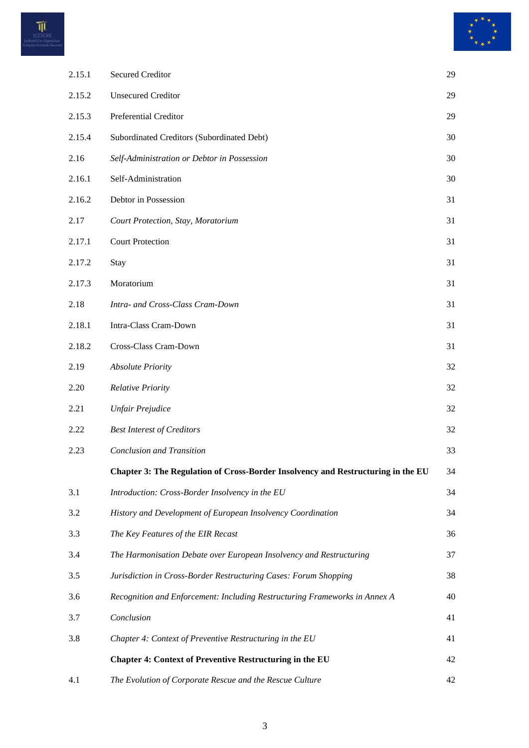



| 2.15.1 | <b>Secured Creditor</b>                                                          | 29 |
|--------|----------------------------------------------------------------------------------|----|
| 2.15.2 | <b>Unsecured Creditor</b>                                                        | 29 |
| 2.15.3 | Preferential Creditor                                                            | 29 |
| 2.15.4 | Subordinated Creditors (Subordinated Debt)                                       | 30 |
| 2.16   | Self-Administration or Debtor in Possession                                      | 30 |
| 2.16.1 | Self-Administration                                                              | 30 |
| 2.16.2 | Debtor in Possession                                                             | 31 |
| 2.17   | Court Protection, Stay, Moratorium                                               | 31 |
| 2.17.1 | <b>Court Protection</b>                                                          | 31 |
| 2.17.2 | Stay                                                                             | 31 |
| 2.17.3 | Moratorium                                                                       | 31 |
| 2.18   | Intra- and Cross-Class Cram-Down                                                 | 31 |
| 2.18.1 | Intra-Class Cram-Down                                                            | 31 |
| 2.18.2 | Cross-Class Cram-Down                                                            | 31 |
| 2.19   | <b>Absolute Priority</b>                                                         | 32 |
| 2.20   | <b>Relative Priority</b>                                                         | 32 |
| 2.21   | <b>Unfair Prejudice</b>                                                          | 32 |
| 2.22   | <b>Best Interest of Creditors</b>                                                | 32 |
| 2.23   | <b>Conclusion and Transition</b>                                                 | 33 |
|        | Chapter 3: The Regulation of Cross-Border Insolvency and Restructuring in the EU | 34 |
| 3.1    | Introduction: Cross-Border Insolvency in the EU                                  | 34 |
| 3.2    | History and Development of European Insolvency Coordination                      | 34 |
| 3.3    | The Key Features of the EIR Recast                                               | 36 |
| 3.4    | The Harmonisation Debate over European Insolvency and Restructuring              | 37 |
| 3.5    | Jurisdiction in Cross-Border Restructuring Cases: Forum Shopping                 | 38 |
| 3.6    | Recognition and Enforcement: Including Restructuring Frameworks in Annex A       | 40 |
| 3.7    | Conclusion                                                                       | 41 |
| 3.8    | Chapter 4: Context of Preventive Restructuring in the EU                         | 41 |
|        | <b>Chapter 4: Context of Preventive Restructuring in the EU</b>                  | 42 |
| 4.1    | The Evolution of Corporate Rescue and the Rescue Culture                         | 42 |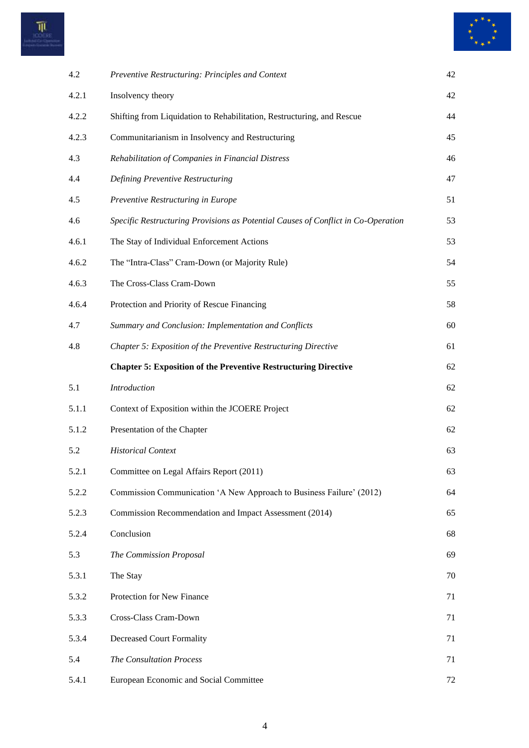



| 4.2   | Preventive Restructuring: Principles and Context                                  | 42 |
|-------|-----------------------------------------------------------------------------------|----|
| 4.2.1 | Insolvency theory                                                                 | 42 |
| 4.2.2 | Shifting from Liquidation to Rehabilitation, Restructuring, and Rescue            | 44 |
| 4.2.3 | Communitarianism in Insolvency and Restructuring                                  | 45 |
| 4.3   | Rehabilitation of Companies in Financial Distress                                 | 46 |
| 4.4   | Defining Preventive Restructuring                                                 | 47 |
| 4.5   | Preventive Restructuring in Europe                                                | 51 |
| 4.6   | Specific Restructuring Provisions as Potential Causes of Conflict in Co-Operation | 53 |
| 4.6.1 | The Stay of Individual Enforcement Actions                                        | 53 |
| 4.6.2 | The "Intra-Class" Cram-Down (or Majority Rule)                                    | 54 |
| 4.6.3 | The Cross-Class Cram-Down                                                         | 55 |
| 4.6.4 | Protection and Priority of Rescue Financing                                       | 58 |
| 4.7   | Summary and Conclusion: Implementation and Conflicts                              | 60 |
| 4.8   | Chapter 5: Exposition of the Preventive Restructuring Directive                   | 61 |
|       | <b>Chapter 5: Exposition of the Preventive Restructuring Directive</b>            | 62 |
|       |                                                                                   |    |
| 5.1   | Introduction                                                                      | 62 |
| 5.1.1 | Context of Exposition within the JCOERE Project                                   | 62 |
| 5.1.2 | Presentation of the Chapter                                                       | 62 |
| 5.2   | <b>Historical Context</b>                                                         | 63 |
| 5.2.1 | Committee on Legal Affairs Report (2011)                                          | 63 |
| 5.2.2 | Commission Communication 'A New Approach to Business Failure' (2012)              | 64 |
| 5.2.3 | Commission Recommendation and Impact Assessment (2014)                            | 65 |
| 5.2.4 | Conclusion                                                                        | 68 |
| 5.3   | The Commission Proposal                                                           | 69 |
| 5.3.1 | The Stay                                                                          | 70 |
| 5.3.2 | Protection for New Finance                                                        | 71 |
| 5.3.3 | Cross-Class Cram-Down                                                             | 71 |
| 5.3.4 | <b>Decreased Court Formality</b>                                                  | 71 |
| 5.4   | The Consultation Process                                                          | 71 |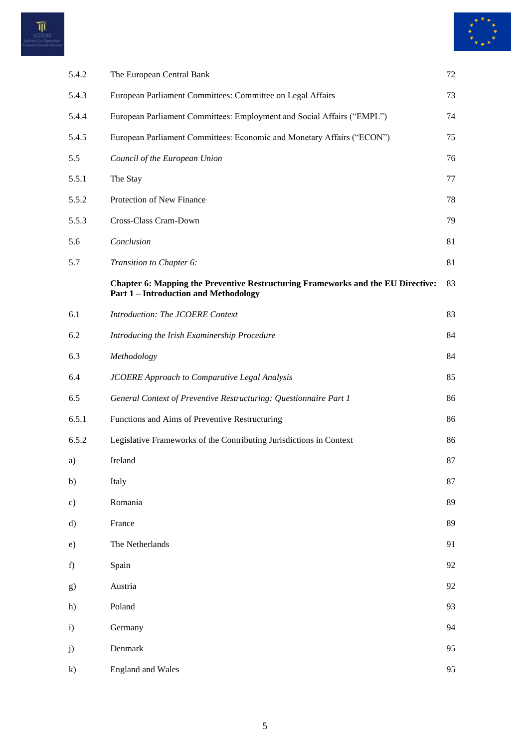



| 5.4.2        | The European Central Bank                                                                                                             | 72 |
|--------------|---------------------------------------------------------------------------------------------------------------------------------------|----|
| 5.4.3        | European Parliament Committees: Committee on Legal Affairs                                                                            | 73 |
| 5.4.4        | European Parliament Committees: Employment and Social Affairs ("EMPL")                                                                | 74 |
| 5.4.5        | European Parliament Committees: Economic and Monetary Affairs ("ECON")                                                                | 75 |
| 5.5          | Council of the European Union                                                                                                         | 76 |
| 5.5.1        | The Stay                                                                                                                              | 77 |
| 5.5.2        | Protection of New Finance                                                                                                             | 78 |
| 5.5.3        | Cross-Class Cram-Down                                                                                                                 | 79 |
| 5.6          | Conclusion                                                                                                                            | 81 |
| 5.7          | Transition to Chapter 6:                                                                                                              | 81 |
|              | <b>Chapter 6: Mapping the Preventive Restructuring Frameworks and the EU Directive:</b><br><b>Part 1-Introduction and Methodology</b> | 83 |
| 6.1          | Introduction: The JCOERE Context                                                                                                      | 83 |
| 6.2          | Introducing the Irish Examinership Procedure                                                                                          | 84 |
| 6.3          | Methodology                                                                                                                           | 84 |
| 6.4          | <b>JCOERE</b> Approach to Comparative Legal Analysis                                                                                  | 85 |
| 6.5          | General Context of Preventive Restructuring: Questionnaire Part 1                                                                     | 86 |
| 6.5.1        | Functions and Aims of Preventive Restructuring                                                                                        | 86 |
| 6.5.2        | Legislative Frameworks of the Contributing Jurisdictions in Context                                                                   | 86 |
| a)           | Ireland                                                                                                                               | 87 |
| b)           | Italy                                                                                                                                 | 87 |
| c)           | Romania                                                                                                                               | 89 |
| d)           | France                                                                                                                                | 89 |
| e)           | The Netherlands                                                                                                                       | 91 |
| f)           | Spain                                                                                                                                 | 92 |
| g)           | Austria                                                                                                                               | 92 |
| h)           | Poland                                                                                                                                | 93 |
| i)           | Germany                                                                                                                               | 94 |
| j)           | Denmark                                                                                                                               | 95 |
| $\mathbf{k}$ | <b>England</b> and Wales                                                                                                              | 95 |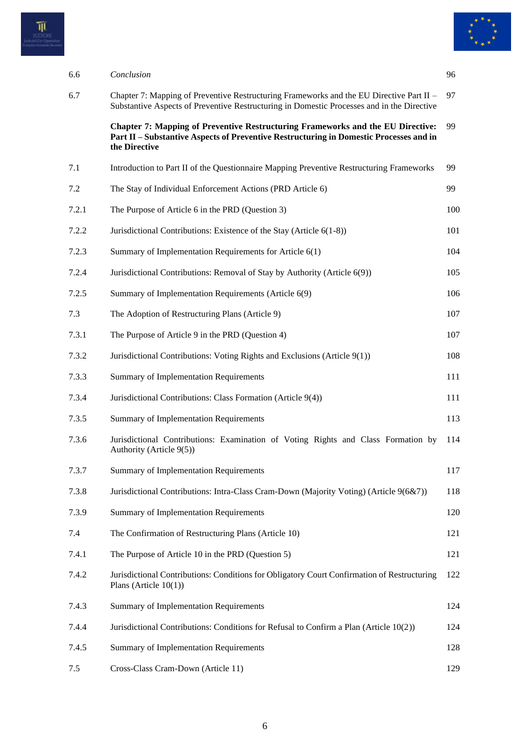



| 6.6 |       | Conclusion                                                                                                                                                                                        | 96  |
|-----|-------|---------------------------------------------------------------------------------------------------------------------------------------------------------------------------------------------------|-----|
| 6.7 |       | Chapter 7: Mapping of Preventive Restructuring Frameworks and the EU Directive Part II –<br>Substantive Aspects of Preventive Restructuring in Domestic Processes and in the Directive            | 97  |
|     |       | <b>Chapter 7: Mapping of Preventive Restructuring Frameworks and the EU Directive:</b><br>Part II – Substantive Aspects of Preventive Restructuring in Domestic Processes and in<br>the Directive | 99  |
| 7.1 |       | Introduction to Part II of the Questionnaire Mapping Preventive Restructuring Frameworks                                                                                                          | 99  |
| 7.2 |       | The Stay of Individual Enforcement Actions (PRD Article 6)                                                                                                                                        | 99  |
|     | 7.2.1 | The Purpose of Article 6 in the PRD (Question 3)                                                                                                                                                  | 100 |
|     | 7.2.2 | Jurisdictional Contributions: Existence of the Stay (Article 6(1-8))                                                                                                                              | 101 |
|     | 7.2.3 | Summary of Implementation Requirements for Article 6(1)                                                                                                                                           | 104 |
|     | 7.2.4 | Jurisdictional Contributions: Removal of Stay by Authority (Article 6(9))                                                                                                                         | 105 |
|     | 7.2.5 | Summary of Implementation Requirements (Article 6(9)                                                                                                                                              | 106 |
| 7.3 |       | The Adoption of Restructuring Plans (Article 9)                                                                                                                                                   | 107 |
|     | 7.3.1 | The Purpose of Article 9 in the PRD (Question 4)                                                                                                                                                  | 107 |
|     | 7.3.2 | Jurisdictional Contributions: Voting Rights and Exclusions (Article 9(1))                                                                                                                         | 108 |
|     | 7.3.3 | Summary of Implementation Requirements                                                                                                                                                            | 111 |
|     | 7.3.4 | Jurisdictional Contributions: Class Formation (Article 9(4))                                                                                                                                      | 111 |
|     | 7.3.5 | Summary of Implementation Requirements                                                                                                                                                            | 113 |
|     | 7.3.6 | Jurisdictional Contributions: Examination of Voting Rights and Class Formation by<br>Authority (Article 9(5))                                                                                     | 114 |
|     | 7.3.7 | Summary of Implementation Requirements                                                                                                                                                            | 117 |
|     | 7.3.8 | Jurisdictional Contributions: Intra-Class Cram-Down (Majority Voting) (Article 9(6&7))                                                                                                            | 118 |
|     | 7.3.9 | Summary of Implementation Requirements                                                                                                                                                            | 120 |
| 7.4 |       | The Confirmation of Restructuring Plans (Article 10)                                                                                                                                              | 121 |
|     | 7.4.1 | The Purpose of Article 10 in the PRD (Question 5)                                                                                                                                                 | 121 |
|     | 7.4.2 | Jurisdictional Contributions: Conditions for Obligatory Court Confirmation of Restructuring<br>Plans (Article $10(1)$ )                                                                           | 122 |
|     | 7.4.3 | Summary of Implementation Requirements                                                                                                                                                            | 124 |
|     | 7.4.4 | Jurisdictional Contributions: Conditions for Refusal to Confirm a Plan (Article 10(2))                                                                                                            | 124 |
|     | 7.4.5 | Summary of Implementation Requirements                                                                                                                                                            | 128 |
| 7.5 |       | Cross-Class Cram-Down (Article 11)                                                                                                                                                                | 129 |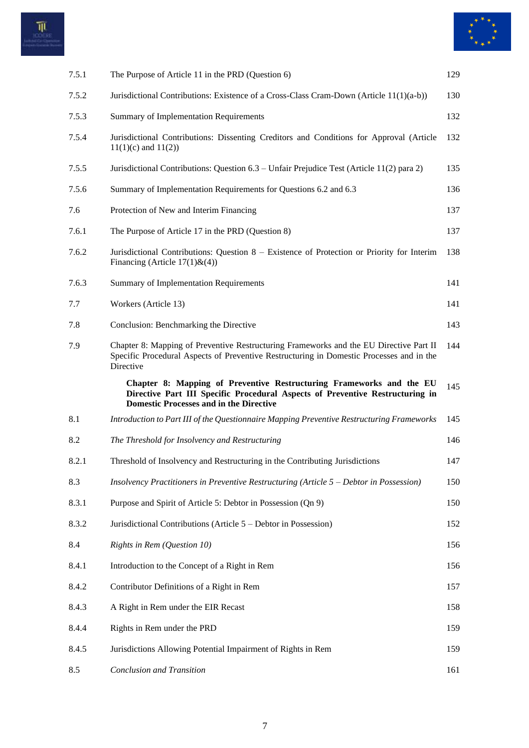



| 7.5.1 | The Purpose of Article 11 in the PRD (Question 6)                                                                                                                                                       | 129 |
|-------|---------------------------------------------------------------------------------------------------------------------------------------------------------------------------------------------------------|-----|
| 7.5.2 | Jurisdictional Contributions: Existence of a Cross-Class Cram-Down (Article 11(1)(a-b))                                                                                                                 | 130 |
| 7.5.3 | Summary of Implementation Requirements                                                                                                                                                                  | 132 |
| 7.5.4 | Jurisdictional Contributions: Dissenting Creditors and Conditions for Approval (Article<br>$11(1)(c)$ and $11(2)$ )                                                                                     | 132 |
| 7.5.5 | Jurisdictional Contributions: Question 6.3 – Unfair Prejudice Test (Article 11(2) para 2)                                                                                                               | 135 |
| 7.5.6 | Summary of Implementation Requirements for Questions 6.2 and 6.3                                                                                                                                        | 136 |
| 7.6   | Protection of New and Interim Financing                                                                                                                                                                 | 137 |
| 7.6.1 | The Purpose of Article 17 in the PRD (Question 8)                                                                                                                                                       | 137 |
| 7.6.2 | Jurisdictional Contributions: Question 8 – Existence of Protection or Priority for Interim<br>Financing (Article $17(1)$ &(4))                                                                          | 138 |
| 7.6.3 | Summary of Implementation Requirements                                                                                                                                                                  | 141 |
| 7.7   | Workers (Article 13)                                                                                                                                                                                    | 141 |
| 7.8   | Conclusion: Benchmarking the Directive                                                                                                                                                                  | 143 |
| 7.9   | Chapter 8: Mapping of Preventive Restructuring Frameworks and the EU Directive Part II<br>Specific Procedural Aspects of Preventive Restructuring in Domestic Processes and in the<br>Directive         | 144 |
|       |                                                                                                                                                                                                         |     |
|       | Chapter 8: Mapping of Preventive Restructuring Frameworks and the EU<br>Directive Part III Specific Procedural Aspects of Preventive Restructuring in<br><b>Domestic Processes and in the Directive</b> | 145 |
| 8.1   | Introduction to Part III of the Questionnaire Mapping Preventive Restructuring Frameworks                                                                                                               | 145 |
| 8.2   | The Threshold for Insolvency and Restructuring                                                                                                                                                          | 146 |
| 8.2.1 | Threshold of Insolvency and Restructuring in the Contributing Jurisdictions                                                                                                                             | 147 |
| 8.3   | Insolvency Practitioners in Preventive Restructuring (Article 5 – Debtor in Possession)                                                                                                                 | 150 |
| 8.3.1 | Purpose and Spirit of Article 5: Debtor in Possession (Qn 9)                                                                                                                                            | 150 |
| 8.3.2 | Jurisdictional Contributions (Article 5 – Debtor in Possession)                                                                                                                                         | 152 |
| 8.4   | Rights in Rem (Question 10)                                                                                                                                                                             | 156 |
| 8.4.1 | Introduction to the Concept of a Right in Rem                                                                                                                                                           | 156 |
| 8.4.2 | Contributor Definitions of a Right in Rem                                                                                                                                                               | 157 |
| 8.4.3 | A Right in Rem under the EIR Recast                                                                                                                                                                     | 158 |
| 8.4.4 | Rights in Rem under the PRD                                                                                                                                                                             | 159 |
| 8.4.5 | Jurisdictions Allowing Potential Impairment of Rights in Rem                                                                                                                                            | 159 |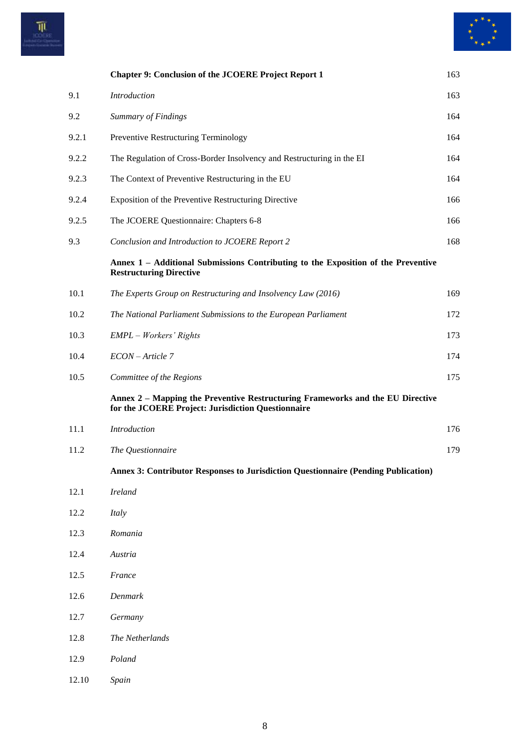



|       | <b>Chapter 9: Conclusion of the JCOERE Project Report 1</b>                                                                          | 163 |
|-------|--------------------------------------------------------------------------------------------------------------------------------------|-----|
| 9.1   | <b>Introduction</b>                                                                                                                  | 163 |
| 9.2   | Summary of Findings                                                                                                                  | 164 |
| 9.2.1 | Preventive Restructuring Terminology                                                                                                 | 164 |
| 9.2.2 | The Regulation of Cross-Border Insolvency and Restructuring in the EI                                                                | 164 |
| 9.2.3 | The Context of Preventive Restructuring in the EU                                                                                    | 164 |
| 9.2.4 | Exposition of the Preventive Restructuring Directive                                                                                 | 166 |
| 9.2.5 | The JCOERE Questionnaire: Chapters 6-8                                                                                               | 166 |
| 9.3   | Conclusion and Introduction to JCOERE Report 2                                                                                       | 168 |
|       | Annex 1 – Additional Submissions Contributing to the Exposition of the Preventive<br><b>Restructuring Directive</b>                  |     |
| 10.1  | The Experts Group on Restructuring and Insolvency Law (2016)                                                                         | 169 |
| 10.2  | The National Parliament Submissions to the European Parliament                                                                       | 172 |
| 10.3  | EMPL - Workers' Rights                                                                                                               | 173 |
| 10.4  | ECON-Article 7                                                                                                                       | 174 |
| 10.5  | Committee of the Regions                                                                                                             | 175 |
|       | Annex 2 – Mapping the Preventive Restructuring Frameworks and the EU Directive<br>for the JCOERE Project: Jurisdiction Questionnaire |     |
| 11.1  | Introduction                                                                                                                         | 176 |
| 11.2  | The Questionnaire                                                                                                                    | 179 |
|       | Annex 3: Contributor Responses to Jurisdiction Questionnaire (Pending Publication)                                                   |     |
| 12.1  | <b>Ireland</b>                                                                                                                       |     |
| 12.2  | Italy                                                                                                                                |     |
| 12.3  | Romania                                                                                                                              |     |
| 12.4  | Austria                                                                                                                              |     |
| 12.5  | France                                                                                                                               |     |
| 12.6  | Denmark                                                                                                                              |     |
| 12.7  | Germany                                                                                                                              |     |
| 12.8  | The Netherlands                                                                                                                      |     |
| 12.9  | Poland                                                                                                                               |     |
| 12.10 | Spain                                                                                                                                |     |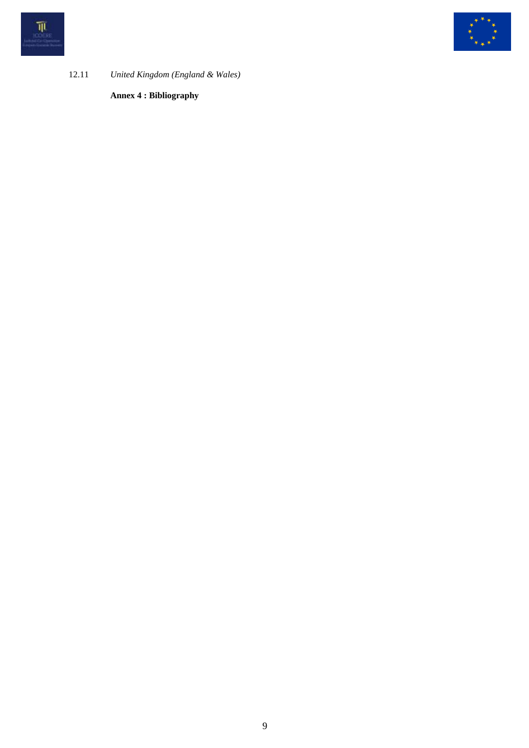



12.11 *United Kingdom (England & Wales)*

**Annex 4 : Bibliography**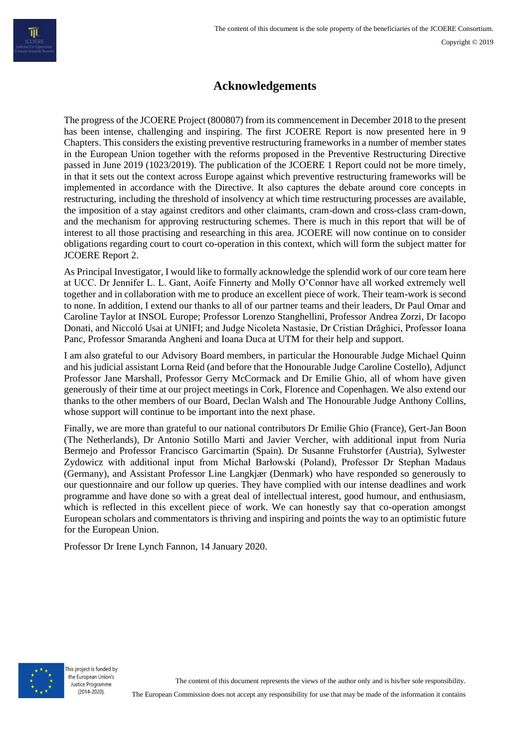### **Acknowledgements**

The progress of the JCOERE Project (800807) from its commencement in December 2018 to the present has been intense, challenging and inspiring. The first JCOERE Report is now presented here in 9 Chapters. This considers the existing preventive restructuring frameworks in a number of member states in the European Union together with the reforms proposed in the Preventive Restructuring Directive passed in June 2019 (1023/2019). The publication of the JCOERE 1 Report could not be more timely, in that it sets out the context across Europe against which preventive restructuring frameworks will be implemented in accordance with the Directive. It also captures the debate around core concepts in restructuring, including the threshold of insolvency at which time restructuring processes are available, the imposition of a stay against creditors and other claimants, cram-down and cross-class cram-down, and the mechanism for approving restructuring schemes. There is much in this report that will be of interest to all those practising and researching in this area. JCOERE will now continue on to consider obligations regarding court to court co-operation in this context, which will form the subject matter for JCOERE Report 2.

As Principal Investigator, I would like to formally acknowledge the splendid work of our core team here at UCC. Dr Jennifer L. L. Gant, Aoife Finnerty and Molly O'Connor have all worked extremely well together and in collaboration with me to produce an excellent piece of work. Their team-work is second to none. In addition, I extend our thanks to all of our partner teams and their leaders, Dr Paul Omar and Caroline Taylor at INSOL Europe; Professor Lorenzo Stanghellini, Professor Andrea Zorzi, Dr Iacopo Donati, and Niccoló Usai at UNIFI; and Judge Nicoleta Nastasie, Dr Cristian Drăghici, Professor Ioana Panc, Professor Smaranda Angheni and Ioana Duca at UTM for their help and support.

I am also grateful to our Advisory Board members, in particular the Honourable Judge Michael Quinn and his judicial assistant Lorna Reid (and before that the Honourable Judge Caroline Costello), Adjunct Professor Jane Marshall, Professor Gerry McCormack and Dr Emilie Ghio, all of whom have given generously of their time at our project meetings in Cork, Florence and Copenhagen. We also extend our thanks to the other members of our Board, Declan Walsh and The Honourable Judge Anthony Collins, whose support will continue to be important into the next phase.

Finally, we are more than grateful to our national contributors Dr Emilie Ghio (France), Gert-Jan Boon (The Netherlands), Dr Antonio Sotillo Marti and Javier Vercher, with additional input from Nuria Bermejo and Professor Francisco Garcimartin (Spain). Dr Susanne Fruhstorfer (Austria), Sylwester Zydowicz with additional input from Michał Barłowski (Poland), Professor Dr Stephan Madaus (Germany), and Assistant Professor Line Langkjær (Denmark) who have responded so generously to our questionnaire and our follow up queries. They have complied with our intense deadlines and work programme and have done so with a great deal of intellectual interest, good humour, and enthusiasm, which is reflected in this excellent piece of work. We can honestly say that co-operation amongst European scholars and commentators is thriving and inspiring and points the way to an optimistic future for the European Union.

Professor Dr Irene Lynch Fannon, 14 January 2020.



The European Commission does not accept any responsibility for use that may be made of the information it contains